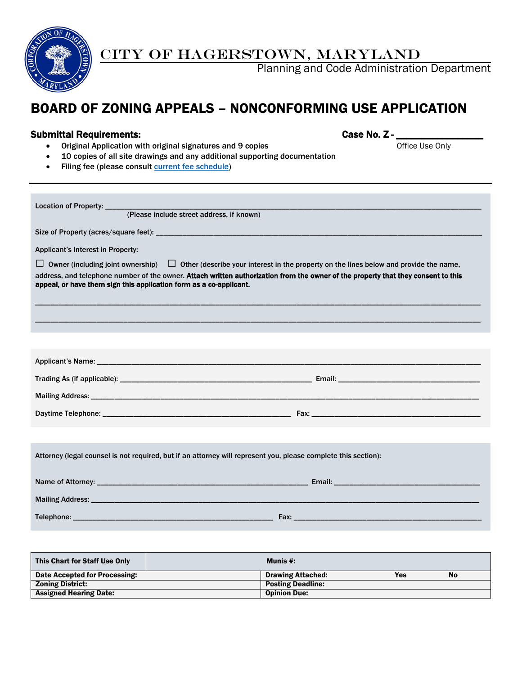

# CITY OF HAGERSTOWN, MARYLAND

Planning and Code Administration Department

# BOARD OF ZONING APPEALS – NONCONFORMING USE APPLICATION

Submittal Requirements: Case No. Z - \_\_\_\_\_\_\_\_\_\_\_\_\_\_\_\_\_ • Original Application with original signatures and 9 copies

- 10 copies of all site drawings and any additional supporting documentation
- Filing fee (please consult [current fee schedule\)](http://www.hagerstownmd.org/DocumentCenter/Home/View/384)

| (Please include street address, if known)                                                                                                                                                                                                                                                                                                         |  |  |  |
|---------------------------------------------------------------------------------------------------------------------------------------------------------------------------------------------------------------------------------------------------------------------------------------------------------------------------------------------------|--|--|--|
|                                                                                                                                                                                                                                                                                                                                                   |  |  |  |
| Applicant's Interest in Property:                                                                                                                                                                                                                                                                                                                 |  |  |  |
| $\Box$ Owner (including joint ownership) $\Box$ Other (describe your interest in the property on the lines below and provide the name,<br>address, and telephone number of the owner. Attach written authorization from the owner of the property that they consent to this<br>appeal, or have them sign this application form as a co-applicant. |  |  |  |
|                                                                                                                                                                                                                                                                                                                                                   |  |  |  |
|                                                                                                                                                                                                                                                                                                                                                   |  |  |  |
|                                                                                                                                                                                                                                                                                                                                                   |  |  |  |
|                                                                                                                                                                                                                                                                                                                                                   |  |  |  |
|                                                                                                                                                                                                                                                                                                                                                   |  |  |  |
|                                                                                                                                                                                                                                                                                                                                                   |  |  |  |
|                                                                                                                                                                                                                                                                                                                                                   |  |  |  |
| Attorney (legal counsel is not required, but if an attorney will represent you, please complete this section):                                                                                                                                                                                                                                    |  |  |  |
|                                                                                                                                                                                                                                                                                                                                                   |  |  |  |
|                                                                                                                                                                                                                                                                                                                                                   |  |  |  |
|                                                                                                                                                                                                                                                                                                                                                   |  |  |  |

| This Chart for Staff Use Only | Munis #:                 |            |           |
|-------------------------------|--------------------------|------------|-----------|
| Date Accepted for Processing: | <b>Drawing Attached:</b> | <b>Yes</b> | <b>No</b> |
| <b>Zoning District:</b>       | <b>Posting Deadline:</b> |            |           |
| <b>Assigned Hearing Date:</b> | <b>Opinion Due:</b>      |            |           |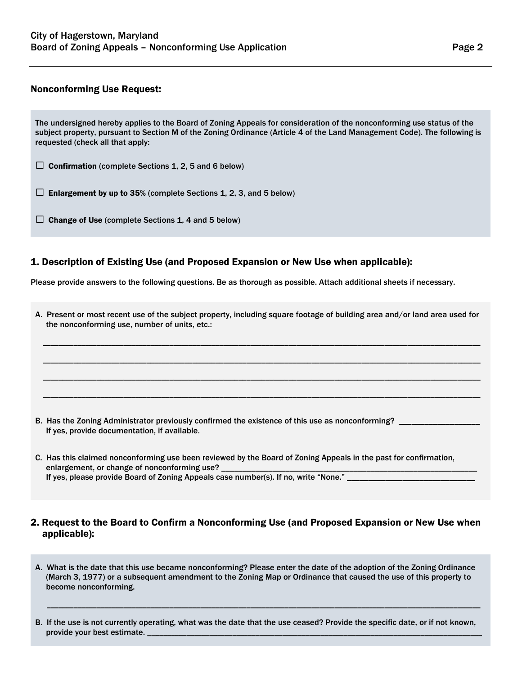## Nonconforming Use Request:

The undersigned hereby applies to the Board of Zoning Appeals for consideration of the nonconforming use status of the subject property, pursuant to Section M of the Zoning Ordinance (Article 4 of the Land Management Code). The following is requested (check all that apply:

 $\Box$  Confirmation (complete Sections 1, 2, 5 and 6 below)

 $\Box$  Enlargement by up to 35% (complete Sections 1, 2, 3, and 5 below)

 $\Box$  Change of Use (complete Sections 1, 4 and 5 below)

### 1. Description of Existing Use (and Proposed Expansion or New Use when applicable):

Please provide answers to the following questions. Be as thorough as possible. Attach additional sheets if necessary.

| A. Present or most recent use of the subject property, including square footage of building area and/or land area used for<br>the nonconforming use, number of units, etc.:                                                                             |  |  |  |
|---------------------------------------------------------------------------------------------------------------------------------------------------------------------------------------------------------------------------------------------------------|--|--|--|
|                                                                                                                                                                                                                                                         |  |  |  |
|                                                                                                                                                                                                                                                         |  |  |  |
|                                                                                                                                                                                                                                                         |  |  |  |
| B. Has the Zoning Administrator previously confirmed the existence of this use as nonconforming? _____<br>If yes, provide documentation, if available.                                                                                                  |  |  |  |
| C. Has this claimed nonconforming use been reviewed by the Board of Zoning Appeals in the past for confirmation,<br>enlargement, or change of nonconforming use?<br>If yes, please provide Board of Zoning Appeals case number(s). If no, write "None." |  |  |  |

# 2. Request to the Board to Confirm a Nonconforming Use (and Proposed Expansion or New Use when applicable):

A. What is the date that this use became nonconforming? Please enter the date of the adoption of the Zoning Ordinance (March 3, 1977) or a subsequent amendment to the Zoning Map or Ordinance that caused the use of this property to become nonconforming.

B. If the use is not currently operating, what was the date that the use ceased? Provide the specific date, or if not known, provide your best estimate.

\_\_\_\_\_\_\_\_\_\_\_\_\_\_\_\_\_\_\_\_\_\_\_\_\_\_\_\_\_\_\_\_\_\_\_\_\_\_\_\_\_\_\_\_\_\_\_\_\_\_\_\_\_\_\_\_\_\_\_\_\_\_\_\_\_\_\_\_\_\_\_\_\_\_\_\_\_\_\_\_\_\_\_\_\_\_\_\_\_\_\_\_\_\_\_\_\_\_\_\_\_\_\_\_\_\_\_\_\_\_\_\_\_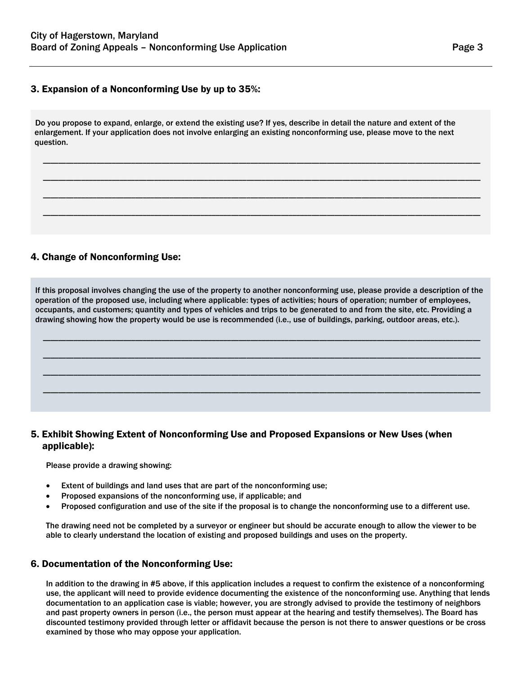# 3. Expansion of a Nonconforming Use by up to 35%:

Do you propose to expand, enlarge, or extend the existing use? If yes, describe in detail the nature and extent of the enlargement. If your application does not involve enlarging an existing nonconforming use, please move to the next question.

\_\_\_\_\_\_\_\_\_\_\_\_\_\_\_\_\_\_\_\_\_\_\_\_\_\_\_\_\_\_\_\_\_\_\_\_\_\_\_\_\_\_\_\_\_\_\_\_\_\_\_\_\_\_\_\_\_\_\_\_\_\_\_\_\_\_\_\_\_\_\_\_\_\_\_\_\_\_\_\_\_\_\_\_\_\_\_\_\_\_\_\_\_\_\_\_\_\_\_\_\_\_\_\_\_\_\_\_\_\_\_\_\_\_

\_\_\_\_\_\_\_\_\_\_\_\_\_\_\_\_\_\_\_\_\_\_\_\_\_\_\_\_\_\_\_\_\_\_\_\_\_\_\_\_\_\_\_\_\_\_\_\_\_\_\_\_\_\_\_\_\_\_\_\_\_\_\_\_\_\_\_\_\_\_\_\_\_\_\_\_\_\_\_\_\_\_\_\_\_\_\_\_\_\_\_\_\_\_\_\_\_\_\_\_\_\_\_\_\_\_\_\_\_\_\_\_\_\_

\_\_\_\_\_\_\_\_\_\_\_\_\_\_\_\_\_\_\_\_\_\_\_\_\_\_\_\_\_\_\_\_\_\_\_\_\_\_\_\_\_\_\_\_\_\_\_\_\_\_\_\_\_\_\_\_\_\_\_\_\_\_\_\_\_\_\_\_\_\_\_\_\_\_\_\_\_\_\_\_\_\_\_\_\_\_\_\_\_\_\_\_\_\_\_\_\_\_\_\_\_\_\_\_\_\_\_\_\_\_\_\_\_\_

\_\_\_\_\_\_\_\_\_\_\_\_\_\_\_\_\_\_\_\_\_\_\_\_\_\_\_\_\_\_\_\_\_\_\_\_\_\_\_\_\_\_\_\_\_\_\_\_\_\_\_\_\_\_\_\_\_\_\_\_\_\_\_\_\_\_\_\_\_\_\_\_\_\_\_\_\_\_\_\_\_\_\_\_\_\_\_\_\_\_\_\_\_\_\_\_\_\_\_\_\_\_\_\_\_\_\_\_\_\_\_\_\_\_

# 4. Change of Nonconforming Use:

If this proposal involves changing the use of the property to another nonconforming use, please provide a description of the operation of the proposed use, including where applicable: types of activities; hours of operation; number of employees, occupants, and customers; quantity and types of vehicles and trips to be generated to and from the site, etc. Providing a drawing showing how the property would be use is recommended (i.e., use of buildings, parking, outdoor areas, etc.).

\_\_\_\_\_\_\_\_\_\_\_\_\_\_\_\_\_\_\_\_\_\_\_\_\_\_\_\_\_\_\_\_\_\_\_\_\_\_\_\_\_\_\_\_\_\_\_\_\_\_\_\_\_\_\_\_\_\_\_\_\_\_\_\_\_\_\_\_\_\_\_\_\_\_\_\_\_\_\_\_\_\_\_\_\_\_\_\_\_\_\_\_\_\_\_\_\_\_\_\_\_\_\_\_\_\_\_\_\_\_\_\_\_\_

\_\_\_\_\_\_\_\_\_\_\_\_\_\_\_\_\_\_\_\_\_\_\_\_\_\_\_\_\_\_\_\_\_\_\_\_\_\_\_\_\_\_\_\_\_\_\_\_\_\_\_\_\_\_\_\_\_\_\_\_\_\_\_\_\_\_\_\_\_\_\_\_\_\_\_\_\_\_\_\_\_\_\_\_\_\_\_\_\_\_\_\_\_\_\_\_\_\_\_\_\_\_\_\_\_\_\_\_\_\_\_\_\_\_

\_\_\_\_\_\_\_\_\_\_\_\_\_\_\_\_\_\_\_\_\_\_\_\_\_\_\_\_\_\_\_\_\_\_\_\_\_\_\_\_\_\_\_\_\_\_\_\_\_\_\_\_\_\_\_\_\_\_\_\_\_\_\_\_\_\_\_\_\_\_\_\_\_\_\_\_\_\_\_\_\_\_\_\_\_\_\_\_\_\_\_\_\_\_\_\_\_\_\_\_\_\_\_\_\_\_\_\_\_\_\_\_\_\_

\_\_\_\_\_\_\_\_\_\_\_\_\_\_\_\_\_\_\_\_\_\_\_\_\_\_\_\_\_\_\_\_\_\_\_\_\_\_\_\_\_\_\_\_\_\_\_\_\_\_\_\_\_\_\_\_\_\_\_\_\_\_\_\_\_\_\_\_\_\_\_\_\_\_\_\_\_\_\_\_\_\_\_\_\_\_\_\_\_\_\_\_\_\_\_\_\_\_\_\_\_\_\_\_\_\_\_\_\_\_\_\_\_\_

# 5. Exhibit Showing Extent of Nonconforming Use and Proposed Expansions or New Uses (when applicable):

Please provide a drawing showing:

- Extent of buildings and land uses that are part of the nonconforming use;
- Proposed expansions of the nonconforming use, if applicable; and
- Proposed configuration and use of the site if the proposal is to change the nonconforming use to a different use.

The drawing need not be completed by a surveyor or engineer but should be accurate enough to allow the viewer to be able to clearly understand the location of existing and proposed buildings and uses on the property.

#### 6. Documentation of the Nonconforming Use:

In addition to the drawing in #5 above, if this application includes a request to confirm the existence of a nonconforming use, the applicant will need to provide evidence documenting the existence of the nonconforming use. Anything that lends documentation to an application case is viable; however, you are strongly advised to provide the testimony of neighbors and past property owners in person (i.e., the person must appear at the hearing and testify themselves). The Board has discounted testimony provided through letter or affidavit because the person is not there to answer questions or be cross examined by those who may oppose your application.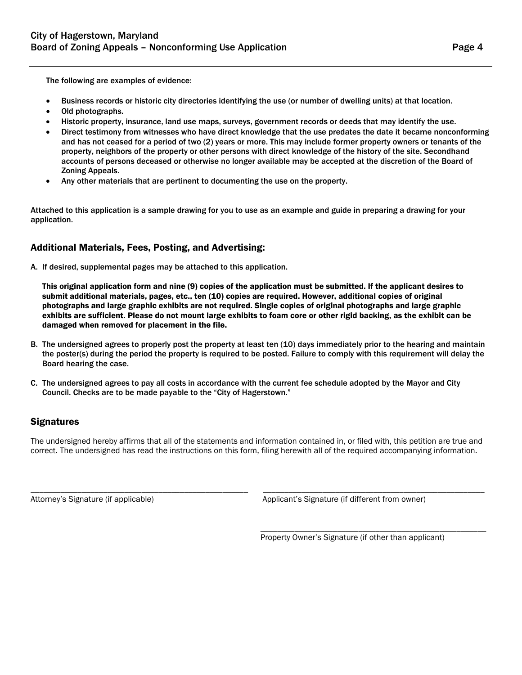The following are examples of evidence:

- Business records or historic city directories identifying the use (or number of dwelling units) at that location.
- Old photographs.
- Historic property, insurance, land use maps, surveys, government records or deeds that may identify the use.
- Direct testimony from witnesses who have direct knowledge that the use predates the date it became nonconforming and has not ceased for a period of two (2) years or more. This may include former property owners or tenants of the property, neighbors of the property or other persons with direct knowledge of the history of the site. Secondhand accounts of persons deceased or otherwise no longer available may be accepted at the discretion of the Board of Zoning Appeals.
- Any other materials that are pertinent to documenting the use on the property.

Attached to this application is a sample drawing for you to use as an example and guide in preparing a drawing for your application.

# Additional Materials, Fees, Posting, and Advertising:

A. If desired, supplemental pages may be attached to this application.

This **original** application form and nine (9) copies of the application must be submitted. If the applicant desires to submit additional materials, pages, etc., ten (10) copies are required. However, additional copies of original photographs and large graphic exhibits are not required. Single copies of original photographs and large graphic exhibits are sufficient. Please do not mount large exhibits to foam core or other rigid backing, as the exhibit can be damaged when removed for placement in the file.

- B. The undersigned agrees to properly post the property at least ten (10) days immediately prior to the hearing and maintain the poster(s) during the period the property is required to be posted. Failure to comply with this requirement will delay the Board hearing the case.
- C. The undersigned agrees to pay all costs in accordance with the current fee schedule adopted by the Mayor and City Council. Checks are to be made payable to the "City of Hagerstown."

## **Signatures**

The undersigned hereby affirms that all of the statements and information contained in, or filed with, this petition are true and correct. The undersigned has read the instructions on this form, filing herewith all of the required accompanying information.

\_\_\_\_\_\_\_\_\_\_\_\_\_\_\_\_\_\_\_\_\_\_\_\_\_\_\_\_\_\_\_\_\_\_\_\_\_\_\_\_\_\_\_\_\_\_\_\_\_\_\_ \_\_\_\_\_\_\_\_\_\_\_\_\_\_\_\_\_\_\_\_\_\_\_\_\_\_\_\_\_\_\_\_\_\_\_\_\_\_\_\_\_\_\_\_\_\_\_\_\_\_\_\_ Attorney's Signature (if applicable) Applicant's Signature (if different from owner)

> \_\_\_\_\_\_\_\_\_\_\_\_\_\_\_\_\_\_\_\_\_\_\_\_\_\_\_\_\_\_\_\_\_\_\_\_\_\_\_\_\_\_\_\_\_\_\_\_\_\_\_\_\_ Property Owner's Signature (if other than applicant)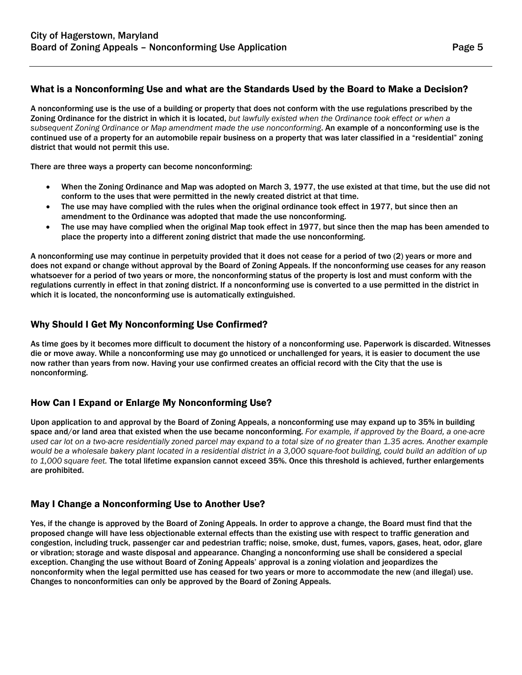# What is a Nonconforming Use and what are the Standards Used by the Board to Make a Decision?

A nonconforming use is the use of a building or property that does not conform with the use regulations prescribed by the Zoning Ordinance for the district in which it is located, *but lawfully existed when the Ordinance took effect or when a subsequent Zoning Ordinance or Map amendment made the use nonconforming*. An example of a nonconforming use is the continued use of a property for an automobile repair business on a property that was later classified in a "residential" zoning district that would not permit this use.

There are three ways a property can become nonconforming:

- When the Zoning Ordinance and Map was adopted on March 3, 1977, the use existed at that time, but the use did not conform to the uses that were permitted in the newly created district at that time.
- The use may have complied with the rules when the original ordinance took effect in 1977, but since then an amendment to the Ordinance was adopted that made the use nonconforming.
- The use may have complied when the original Map took effect in 1977, but since then the map has been amended to place the property into a different zoning district that made the use nonconforming.

A nonconforming use may continue in perpetuity provided that it does not cease for a period of two (2) years or more and does not expand or change without approval by the Board of Zoning Appeals. If the nonconforming use ceases for any reason whatsoever for a period of two years or more, the nonconforming status of the property is lost and must conform with the regulations currently in effect in that zoning district. If a nonconforming use is converted to a use permitted in the district in which it is located, the nonconforming use is automatically extinguished.

# Why Should I Get My Nonconforming Use Confirmed?

As time goes by it becomes more difficult to document the history of a nonconforming use. Paperwork is discarded. Witnesses die or move away. While a nonconforming use may go unnoticed or unchallenged for years, it is easier to document the use now rather than years from now. Having your use confirmed creates an official record with the City that the use is nonconforming.

# How Can I Expand or Enlarge My Nonconforming Use?

Upon application to and approval by the Board of Zoning Appeals, a nonconforming use may expand up to 35% in building space and/or land area that existed when the use became nonconforming. *For example, if approved by the Board, a one-acre used car lot on a two-acre residentially zoned parcel may expand to a total size of no greater than 1.35 acres. Another example would be a wholesale bakery plant located in a residential district in a 3,000 square-foot building, could build an addition of up to 1,000 square feet.* The total lifetime expansion cannot exceed 35%. Once this threshold is achieved, further enlargements are prohibited.

# May I Change a Nonconforming Use to Another Use?

Yes, if the change is approved by the Board of Zoning Appeals. In order to approve a change, the Board must find that the proposed change will have less objectionable external effects than the existing use with respect to traffic generation and congestion, including truck, passenger car and pedestrian traffic; noise, smoke, dust, fumes, vapors, gases, heat, odor, glare or vibration; storage and waste disposal and appearance. Changing a nonconforming use shall be considered a special exception. Changing the use without Board of Zoning Appeals' approval is a zoning violation and jeopardizes the nonconformity when the legal permitted use has ceased for two years or more to accommodate the new (and illegal) use. Changes to nonconformities can only be approved by the Board of Zoning Appeals.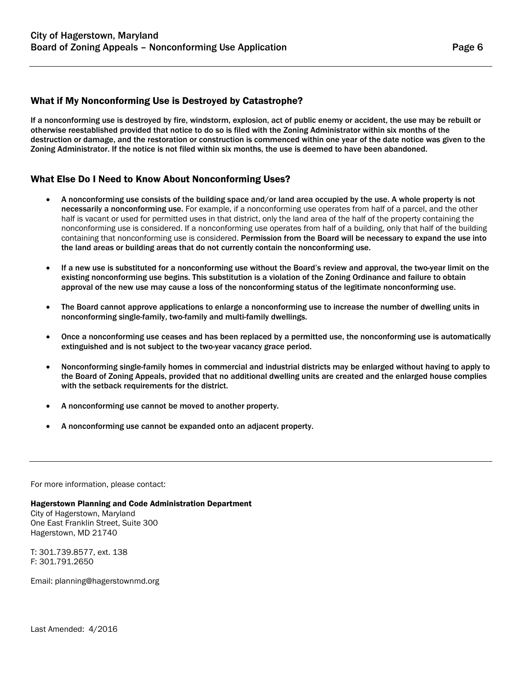# What if My Nonconforming Use is Destroyed by Catastrophe?

If a nonconforming use is destroyed by fire, windstorm, explosion, act of public enemy or accident, the use may be rebuilt or otherwise reestablished provided that notice to do so is filed with the Zoning Administrator within six months of the destruction or damage, and the restoration or construction is commenced within one year of the date notice was given to the Zoning Administrator. If the notice is not filed within six months, the use is deemed to have been abandoned.

# What Else Do I Need to Know About Nonconforming Uses?

- A nonconforming use consists of the building space and/or land area occupied by the use. A whole property is not necessarily a nonconforming use. For example, if a nonconforming use operates from half of a parcel, and the other half is vacant or used for permitted uses in that district, only the land area of the half of the property containing the nonconforming use is considered. If a nonconforming use operates from half of a building, only that half of the building containing that nonconforming use is considered. Permission from the Board will be necessary to expand the use into the land areas or building areas that do not currently contain the nonconforming use.
- If a new use is substituted for a nonconforming use without the Board's review and approval, the two-year limit on the existing nonconforming use begins. This substitution is a violation of the Zoning Ordinance and failure to obtain approval of the new use may cause a loss of the nonconforming status of the legitimate nonconforming use.
- The Board cannot approve applications to enlarge a nonconforming use to increase the number of dwelling units in nonconforming single-family, two-family and multi-family dwellings.
- Once a nonconforming use ceases and has been replaced by a permitted use, the nonconforming use is automatically extinguished and is not subject to the two-year vacancy grace period.
- Nonconforming single-family homes in commercial and industrial districts may be enlarged without having to apply to the Board of Zoning Appeals, provided that no additional dwelling units are created and the enlarged house complies with the setback requirements for the district.
- A nonconforming use cannot be moved to another property.
- A nonconforming use cannot be expanded onto an adjacent property.

For more information, please contact:

Hagerstown Planning and Code Administration Department City of Hagerstown, Maryland One East Franklin Street, Suite 300 Hagerstown, MD 21740

T: 301.739.8577, ext. 138 F: 301.791.2650

Email: planning@hagerstownmd.org

Last Amended: 4/2016